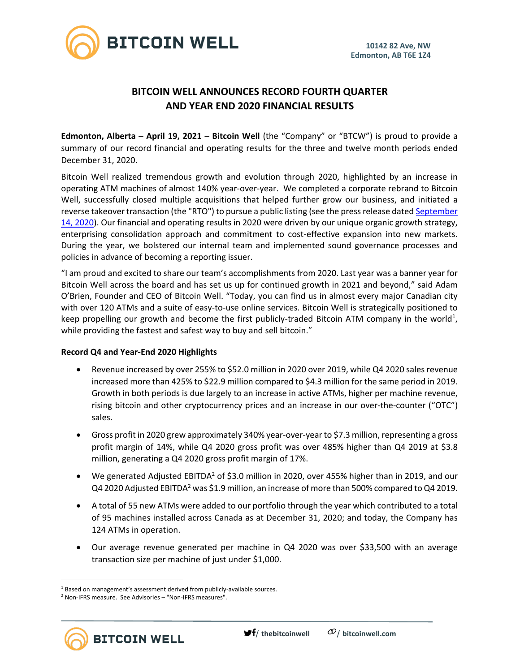

# **BITCOIN WELL ANNOUNCES RECORD FOURTH QUARTER AND YEAR END 2020 FINANCIAL RESULTS**

**Edmonton, Alberta – April 19, 2021 – Bitcoin Well** (the "Company" or "BTCW") is proud to provide a summary of our record financial and operating results for the three and twelve month periods ended December 31, 2020.

Bitcoin Well realized tremendous growth and evolution through 2020, highlighted by an increase in operating ATM machines of almost 140% year-over-year. We completed a corporate rebrand to Bitcoin Well, successfully closed multiple acquisitions that helped further grow our business, and initiated a reverse takeover transaction (the "RTO") to pursue a public listing (see the press release dated [September](https://www.newsfilecorp.com/release/63790/Red-River-Capital-Corp-and-Bitcoin-Solutions-Announce-Proposed-Qualifying-Transaction)  [14, 2020\)](https://www.newsfilecorp.com/release/63790/Red-River-Capital-Corp-and-Bitcoin-Solutions-Announce-Proposed-Qualifying-Transaction). Our financial and operating results in 2020 were driven by our unique organic growth strategy, enterprising consolidation approach and commitment to cost-effective expansion into new markets. During the year, we bolstered our internal team and implemented sound governance processes and policies in advance of becoming a reporting issuer.

"I am proud and excited to share our team's accomplishments from 2020. Last year was a banner year for Bitcoin Well across the board and has set us up for continued growth in 2021 and beyond," said Adam O'Brien, Founder and CEO of Bitcoin Well. "Today, you can find us in almost every major Canadian city with over 120 ATMs and a suite of easy-to-use online services. Bitcoin Well is strategically positioned to keep propelling our growth and become the first publicly-traded Bitcoin ATM company in the world<sup>1</sup>, while providing the fastest and safest way to buy and sell bitcoin."

#### **Record Q4 and Year-End 2020 Highlights**

- Revenue increased by over 255% to \$52.0 million in 2020 over 2019, while Q4 2020 sales revenue increased more than 425% to \$22.9 million compared to \$4.3 million for the same period in 2019. Growth in both periods is due largely to an increase in active ATMs, higher per machine revenue, rising bitcoin and other cryptocurrency prices and an increase in our over-the-counter ("OTC") sales.
- Gross profit in 2020 grew approximately 340% year-over-year to \$7.3 million, representing a gross profit margin of 14%, while Q4 2020 gross profit was over 485% higher than Q4 2019 at \$3.8 million, generating a Q4 2020 gross profit margin of 17%.
- We generated Adjusted EBITDA<sup>2</sup> of \$3.0 million in 2020, over 455% higher than in 2019, and our Q4 2020 Adjusted EBITDA<sup>2</sup> was \$1.9 million, an increase of more than 500% compared to Q4 2019.
- A total of 55 new ATMs were added to our portfolio through the year which contributed to a total of 95 machines installed across Canada as at December 31, 2020; and today, the Company has 124 ATMs in operation.
- Our average revenue generated per machine in Q4 2020 was over \$33,500 with an average transaction size per machine of just under \$1,000.

**BITCOIN WELL** 

<sup>&</sup>lt;sup>1</sup> Based on management's assessment derived from publicly-available sources.

<sup>2</sup> Non-IFRS measure. See Advisories – "Non-IFRS measures".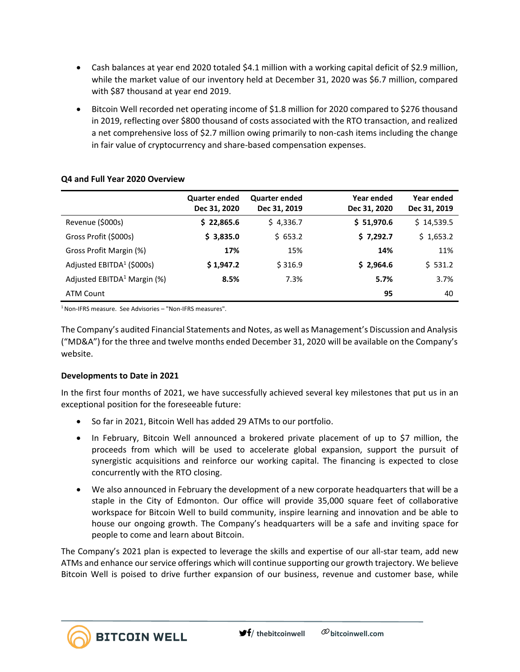- Cash balances at year end 2020 totaled \$4.1 million with a working capital deficit of \$2.9 million, while the market value of our inventory held at December 31, 2020 was \$6.7 million, compared with \$87 thousand at year end 2019.
- Bitcoin Well recorded net operating income of \$1.8 million for 2020 compared to \$276 thousand in 2019, reflecting over \$800 thousand of costs associated with the RTO transaction, and realized a net comprehensive loss of \$2.7 million owing primarily to non-cash items including the change in fair value of cryptocurrency and share-based compensation expenses.

|  |  | Q4 and Full Year 2020 Overview |
|--|--|--------------------------------|
|--|--|--------------------------------|

|                                       | <b>Quarter ended</b><br>Dec 31, 2020 | <b>Quarter ended</b><br>Dec 31, 2019 | Year ended<br>Dec 31, 2020 | Year ended<br>Dec 31, 2019 |
|---------------------------------------|--------------------------------------|--------------------------------------|----------------------------|----------------------------|
| Revenue (\$000s)                      | \$22,865.6                           | \$4,336.7                            | \$ 51,970.6                | \$14,539.5                 |
| Gross Profit (\$000s)                 | \$3,835.0                            | \$653.2                              | \$7,292.7                  | \$1,653.2                  |
| Gross Profit Margin (%)               | 17%                                  | 15%                                  | 14%                        | 11%                        |
| Adjusted EBITDA <sup>1</sup> (\$000s) | \$1,947.2                            | \$316.9                              | \$2,964.6                  | \$531.2                    |
| Adjusted $EBITDA1 Margin (%)$         | 8.5%                                 | 7.3%                                 | 5.7%                       | 3.7%                       |
| <b>ATM Count</b>                      |                                      |                                      | 95                         | 40                         |

<sup>1</sup> Non-IFRS measure. See Advisories - "Non-IFRS measures".

The Company's audited Financial Statements and Notes, as well as Management's Discussion and Analysis ("MD&A") for the three and twelve months ended December 31, 2020 will be available on the Company's website.

#### **Developments to Date in 2021**

In the first four months of 2021, we have successfully achieved several key milestones that put us in an exceptional position for the foreseeable future:

- So far in 2021, Bitcoin Well has added 29 ATMs to our portfolio.
- In February, Bitcoin Well announced a brokered private placement of up to \$7 million, the proceeds from which will be used to accelerate global expansion, support the pursuit of synergistic acquisitions and reinforce our working capital. The financing is expected to close concurrently with the RTO closing.
- We also announced in February the development of a new corporate headquarters that will be a staple in the City of Edmonton. Our office will provide 35,000 square feet of collaborative workspace for Bitcoin Well to build community, inspire learning and innovation and be able to house our ongoing growth. The Company's headquarters will be a safe and inviting space for people to come and learn about Bitcoin.

The Company's 2021 plan is expected to leverage the skills and expertise of our all-star team, add new ATMs and enhance our service offerings which will continue supporting our growth trajectory. We believe Bitcoin Well is poised to drive further expansion of our business, revenue and customer base, while

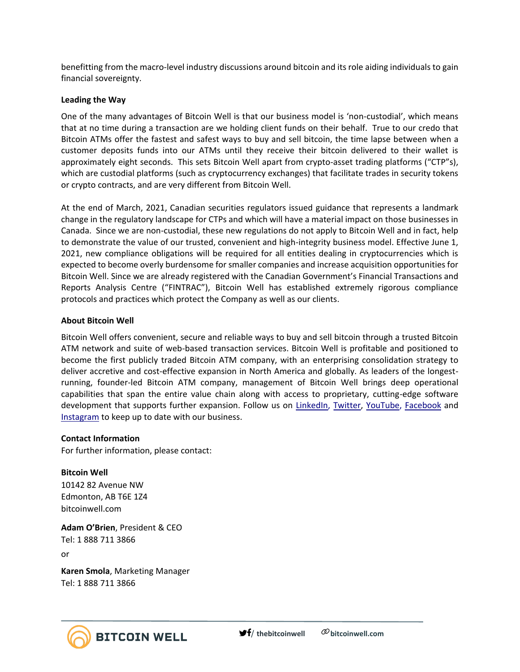benefitting from the macro-level industry discussions around bitcoin and its role aiding individuals to gain financial sovereignty.

## **Leading the Way**

One of the many advantages of Bitcoin Well is that our business model is 'non-custodial', which means that at no time during a transaction are we holding client funds on their behalf. True to our credo that Bitcoin ATMs offer the fastest and safest ways to buy and sell bitcoin, the time lapse between when a customer deposits funds into our ATMs until they receive their bitcoin delivered to their wallet is approximately eight seconds. This sets Bitcoin Well apart from crypto-asset trading platforms ("CTP"s), which are custodial platforms (such as cryptocurrency exchanges) that facilitate trades in security tokens or crypto contracts, and are very different from Bitcoin Well.

At the end of March, 2021, Canadian securities regulators issued guidance that represents a landmark change in the regulatory landscape for CTPs and which will have a material impact on those businesses in Canada. Since we are non-custodial, these new regulations do not apply to Bitcoin Well and in fact, help to demonstrate the value of our trusted, convenient and high-integrity business model. Effective June 1, 2021, new compliance obligations will be required for all entities dealing in cryptocurrencies which is expected to become overly burdensome for smaller companies and increase acquisition opportunities for Bitcoin Well. Since we are already registered with the Canadian Government's Financial Transactions and Reports Analysis Centre ("FINTRAC"), Bitcoin Well has established extremely rigorous compliance protocols and practices which protect the Company as well as our clients.

#### **About Bitcoin Well**

Bitcoin Well offers convenient, secure and reliable ways to buy and sell bitcoin through a trusted Bitcoin ATM network and suite of web-based transaction services. Bitcoin Well is profitable and positioned to become the first publicly traded Bitcoin ATM company, with an enterprising consolidation strategy to deliver accretive and cost-effective expansion in North America and globally. As leaders of the longestrunning, founder-led Bitcoin ATM company, management of Bitcoin Well brings deep operational capabilities that span the entire value chain along with access to proprietary, cutting-edge software development that supports further expansion. Follow us on [LinkedIn,](https://www.linkedin.com/company/bitcoinwell/) [Twitter,](https://twitter.com/TheBitcoinWell) [YouTube,](https://www.youtube.com/channel/UCeHRFsSr3KEGD5kECjlvC4g) [Facebook](https://www.facebook.com/thebitcoinwell) and [Instagram](https://www.instagram.com/thebitcoinwell/) to keep up to date with our business.

#### **Contact Information**

For further information, please contact:

#### **Bitcoin Well**

10142 82 Avenue NW Edmonton, AB T6E 1Z4 bitcoinwell.com

**Adam O'Brien**, President & CEO Tel: 1 888 711 3866 or

**Karen Smola**, Marketing Manager Tel: 1 888 711 3866